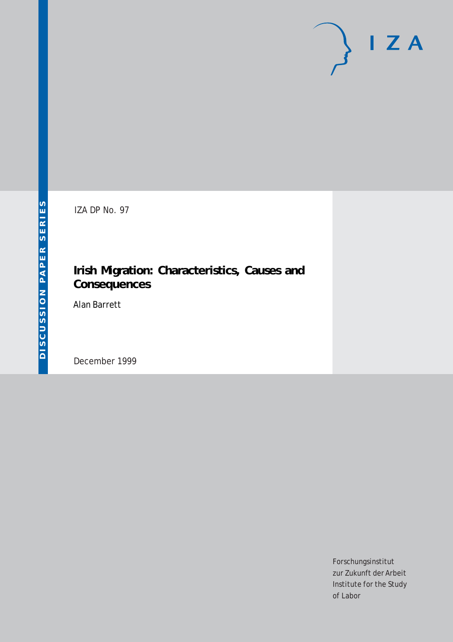# $I Z A$

IZA DP No. 97

## **Irish Migration: Characteristics, Causes and Consequences**

Alan Barrett

December 1999

Forschungsinstitut zur Zukunft der Arbeit Institute for the Study of Labor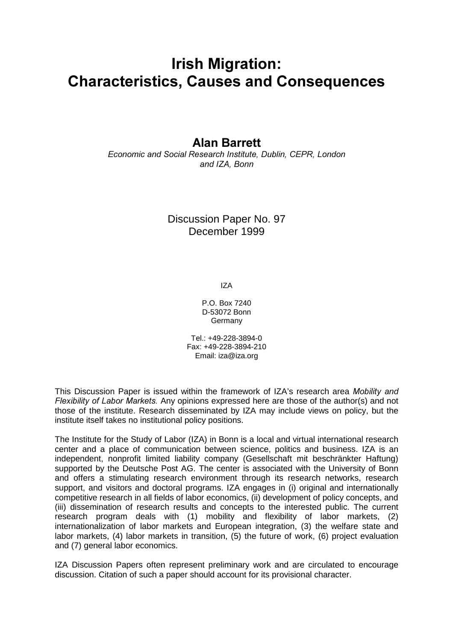# Irish Migration: **Characteristics, Causes and Consequences**

### **Alan Barrett**

Economic and Social Research Institute, Dublin, CEPR, London and IZA. Bonn

> Discussion Paper No. 97 December 1999

> > IZA

P.O. Box 7240 D-53072 Bonn **Germany** 

Tel.: +49-228-3894-0 Fax: +49-228-3894-210 Email: iza@iza.org

This Discussion Paper is issued within the framework of IZA's research area Mobility and Flexibility of Labor Markets. Any opinions expressed here are those of the author(s) and not those of the institute. Research disseminated by IZA may include views on policy, but the institute itself takes no institutional policy positions.

The Institute for the Study of Labor (IZA) in Bonn is a local and virtual international research center and a place of communication between science, politics and business. IZA is an independent, nonprofit limited liability company (Gesellschaft mit beschränkter Haftung) supported by the Deutsche Post AG. The center is associated with the University of Bonn and offers a stimulating research environment through its research networks, research support, and visitors and doctoral programs. IZA engages in (i) original and internationally competitive research in all fields of labor economics, (ii) development of policy concepts, and (iii) dissemination of research results and concepts to the interested public. The current research program deals with (1) mobility and flexibility of labor markets, (2) internationalization of labor markets and European integration, (3) the welfare state and labor markets, (4) labor markets in transition, (5) the future of work, (6) project evaluation and (7) general labor economics.

IZA Discussion Papers often represent preliminary work and are circulated to encourage discussion. Citation of such a paper should account for its provisional character.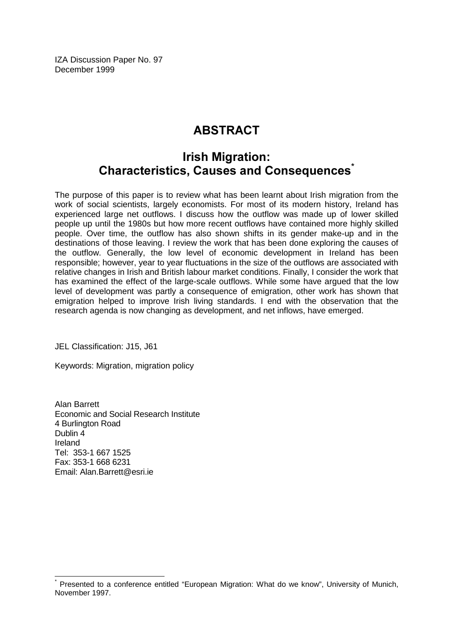IZA Discussion Paper No. 97 December 1999

## **ARSTRACT**

## **Irish Migration: Characteristics, Causes and Consequences**

The purpose of this paper is to review what has been learnt about Irish migration from the work of social scientists, largely economists. For most of its modern history, Ireland has experienced large net outflows. I discuss how the outflow was made up of lower skilled people up until the 1980s but how more recent outflows have contained more highly skilled people. Over time, the outflow has also shown shifts in its gender make-up and in the destinations of those leaving. I review the work that has been done exploring the causes of the outflow. Generally, the low level of economic development in Ireland has been responsible; however, year to year fluctuations in the size of the outflows are associated with relative changes in Irish and British labour market conditions. Finally, I consider the work that has examined the effect of the large-scale outflows. While some have argued that the low level of development was partly a consequence of emigration, other work has shown that emigration helped to improve Irish living standards. I end with the observation that the research agenda is now changing as development, and net inflows, have emerged.

JEL Classification: J15, J61

 $\overline{a}$ 

Keywords: Migration, migration policy

Alan Barrett Economic and Social Research Institute 4 Burlington Road Dublin 4 Ireland Tel: 353-1 667 1525 Fax: 353-1 668 6231 Email: Alan.Barrett@esri.ie

<sup>\*</sup> Presented to a conference entitled "European Migration: What do we know", University of Munich, November 1997.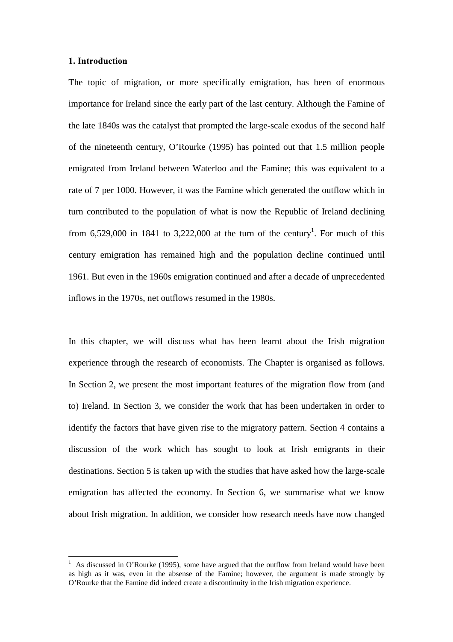#### 1. Introduction

 $\overline{a}$ 

The topic of migration, or more specifically emigration, has been of enormous importance for Ireland since the early part of the last century. Although the Famine of the late 1840s was the catalyst that prompted the large-scale exodus of the second half of the nineteenth century, O'Rourke (1995) has pointed out that 1.5 million people emigrated from Ireland between Waterloo and the Famine; this was equivalent to a rate of 7 per 1000. However, it was the Famine which generated the outflow which in turn contributed to the population of what is now the Republic of Ireland declining from 6,529,000 in 1841 to 3,222,000 at the turn of the century<sup>1</sup>. For much of this century emigration has remained high and the population decline continued until 1961. But even in the 1960s emigration continued and after a decade of unprecedented inflows in the 1970s, net outflows resumed in the 1980s.

In this chapter, we will discuss what has been learnt about the Irish migration experience through the research of economists. The Chapter is organised as follows. In Section 2, we present the most important features of the migration flow from (and to) Ireland. In Section 3, we consider the work that has been undertaken in order to identify the factors that have given rise to the migratory pattern. Section 4 contains a discussion of the work which has sought to look at Irish emigrants in their destinations. Section 5 is taken up with the studies that have asked how the large-scale emigration has affected the economy. In Section 6, we summarise what we know about Irish migration. In addition, we consider how research needs have now changed

<sup>1</sup> As discussed in O'Rourke (1995), some have argued that the outflow from Ireland would have been as high as it was, even in the absense of the Famine; however, the argument is made strongly by O'Rourke that the Famine did indeed create a discontinuity in the Irish migration experience.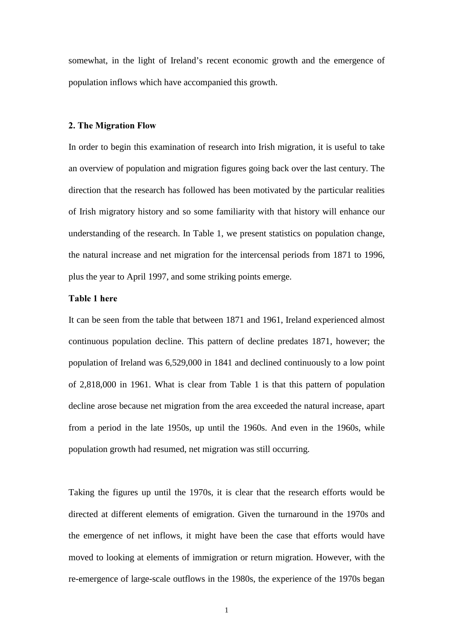somewhat, in the light of Ireland's recent economic growth and the emergence of population inflows which have accompanied this growth.

#### 2. The Migration Flow

In order to begin this examination of research into Irish migration, it is useful to take an overview of population and migration figures going back over the last century. The direction that the research has followed has been motivated by the particular realities of Irish migratory history and so some familiarity with that history will enhance our understanding of the research. In Table 1, we present statistics on population change, the natural increase and net migration for the intercensal periods from 1871 to 1996, plus the year to April 1997, and some striking points emerge.

#### Table 1 here

It can be seen from the table that between 1871 and 1961, Ireland experienced almost continuous population decline. This pattern of decline predates 1871, however; the population of Ireland was 6,529,000 in 1841 and declined continuously to a low point of 2,818,000 in 1961. What is clear from Table 1 is that this pattern of population decline arose because net migration from the area exceeded the natural increase, apart from a period in the late 1950s, up until the 1960s. And even in the 1960s, while population growth had resumed, net migration was still occurring.

Taking the figures up until the 1970s, it is clear that the research efforts would be directed at different elements of emigration. Given the turnaround in the 1970s and the emergence of net inflows, it might have been the case that efforts would have moved to looking at elements of immigration or return migration. However, with the re-emergence of large-scale outflows in the 1980s, the experience of the 1970s began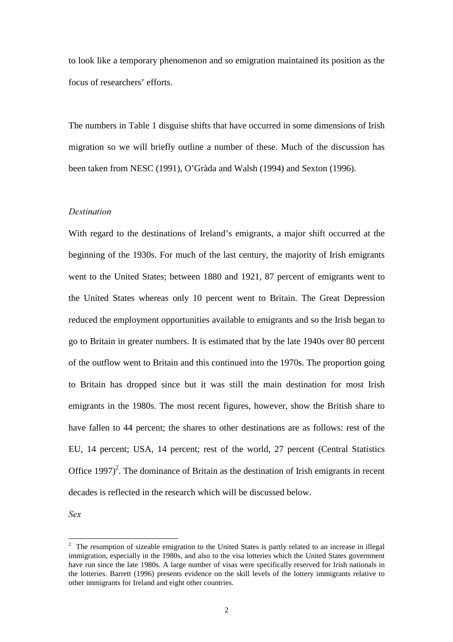to look like a temporary phenomenon and so emigration maintained its position as the focus of researchers' efforts.

The numbers in Table 1 disguise shifts that have occurred in some dimensions of Irish migration so we will briefly outline a number of these. Much of the discussion has been taken from NESC (1991), O'Gràda and Walsh (1994) and Sexton (1996).

#### Destination

With regard to the destinations of Ireland's emigrants, a major shift occurred at the beginning of the 1930s. For much of the last century, the majority of Irish emigrants went to the United States; between 1880 and 1921, 87 percent of emigrants went to the United States whereas only 10 percent went to Britain. The Great Depression reduced the employment opportunities available to emigrants and so the Irish began to go to Britain in greater numbers. It is estimated that by the late 1940s over 80 percent of the outflow went to Britain and this continued into the 1970s. The proportion going to Britain has dropped since but it was still the main destination for most Irish emigrants in the 1980s. The most recent figures, however, show the British share to have fallen to 44 percent; the shares to other destinations are as follows: rest of the EU, 14 percent; USA, 14 percent; rest of the world, 27 percent (Central Statistics Office  $1997)^2$ . The dominance of Britain as the destination of Irish emigrants in recent decades is reflected in the research which will be discussed below.

 $Sex$ 

<sup>&</sup>lt;sup>2</sup> The resumption of sizeable emigration to the United States is partly related to an increase in illegal immigration, especially in the 1980s, and also to the visa lotteries which the United States government have run since the late 1980s. A large number of visas were specifically reserved for Irish nationals in the lotteries. Barrett (1996) presents evidence on the skill levels of the lottery immigrants relative to other immigrants for Ireland and eight other countries.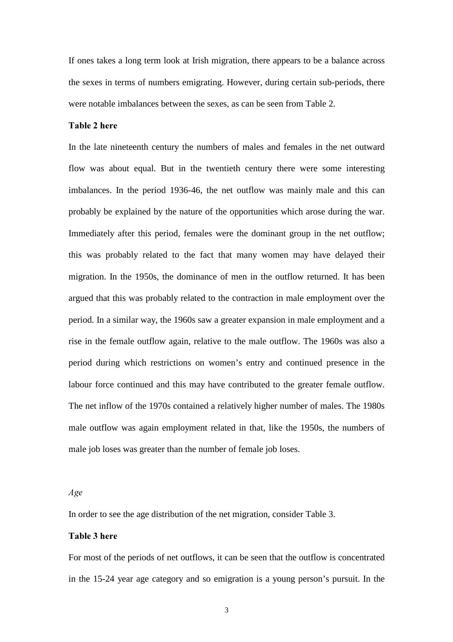If ones takes a long term look at Irish migration, there appears to be a balance across the sexes in terms of numbers emigrating. However, during certain sub-periods, there were notable imbalances between the sexes, as can be seen from Table 2.

#### Table 2 here

In the late nineteenth century the numbers of males and females in the net outward flow was about equal. But in the twentieth century there were some interesting imbalances. In the period 1936-46, the net outflow was mainly male and this can probably be explained by the nature of the opportunities which arose during the war. Immediately after this period, females were the dominant group in the net outflow; this was probably related to the fact that many women may have delayed their migration. In the 1950s, the dominance of men in the outflow returned. It has been argued that this was probably related to the contraction in male employment over the period. In a similar way, the 1960s saw a greater expansion in male employment and a rise in the female outflow again, relative to the male outflow. The 1960s was also a period during which restrictions on women's entry and continued presence in the labour force continued and this may have contributed to the greater female outflow. The net inflow of the 1970s contained a relatively higher number of males. The 1980s male outflow was again employment related in that, like the 1950s, the numbers of male job loses was greater than the number of female job loses.

Age

In order to see the age distribution of the net migration, consider Table 3.

#### Table 3 here

For most of the periods of net outflows, it can be seen that the outflow is concentrated in the 15-24 year age category and so emigration is a young person's pursuit. In the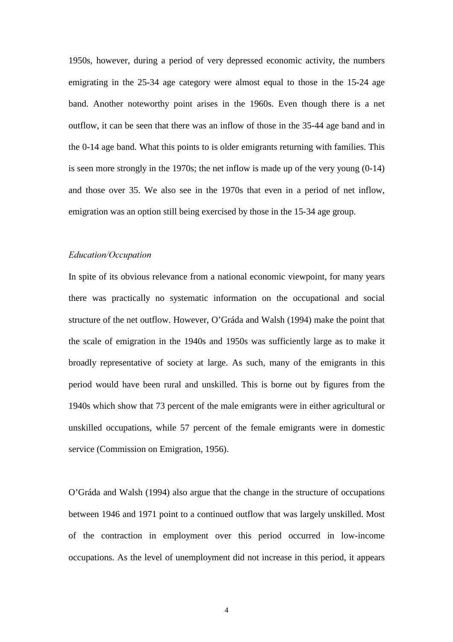1950s, however, during a period of very depressed economic activity, the numbers emigrating in the 25-34 age category were almost equal to those in the 15-24 age band. Another noteworthy point arises in the 1960s. Even though there is a net outflow, it can be seen that there was an inflow of those in the 35-44 age band and in the 0-14 age band. What this points to is older emigrants returning with families. This is seen more strongly in the 1970s; the net inflow is made up of the very young (0-14) and those over 35. We also see in the 1970s that even in a period of net inflow, emigration was an option still being exercised by those in the 15-34 age group.

#### Education/Occupation

In spite of its obvious relevance from a national economic viewpoint, for many years there was practically no systematic information on the occupational and social structure of the net outflow. However, O'Gráda and Walsh (1994) make the point that the scale of emigration in the 1940s and 1950s was sufficiently large as to make it broadly representative of society at large. As such, many of the emigrants in this period would have been rural and unskilled. This is borne out by figures from the 1940s which show that 73 percent of the male emigrants were in either agricultural or unskilled occupations, while 57 percent of the female emigrants were in domestic service (Commission on Emigration, 1956).

O'Gráda and Walsh (1994) also argue that the change in the structure of occupations between 1946 and 1971 point to a continued outflow that was largely unskilled. Most of the contraction in employment over this period occurred in low-income occupations. As the level of unemployment did not increase in this period, it appears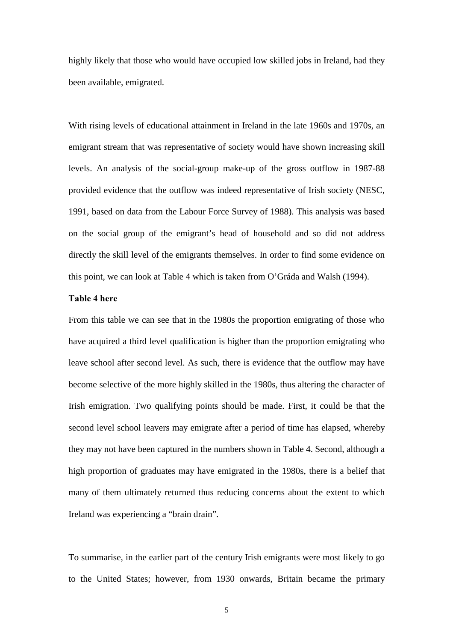highly likely that those who would have occupied low skilled jobs in Ireland, had they been available, emigrated.

With rising levels of educational attainment in Ireland in the late 1960s and 1970s, an emigrant stream that was representative of society would have shown increasing skill levels. An analysis of the social-group make-up of the gross outflow in 1987-88 provided evidence that the outflow was indeed representative of Irish society (NESC, 1991, based on data from the Labour Force Survey of 1988). This analysis was based on the social group of the emigrant's head of household and so did not address directly the skill level of the emigrants themselves. In order to find some evidence on this point, we can look at Table 4 which is taken from O'Gráda and Walsh (1994).

#### Table 4 here

From this table we can see that in the 1980s the proportion emigrating of those who have acquired a third level qualification is higher than the proportion emigrating who leave school after second level. As such, there is evidence that the outflow may have become selective of the more highly skilled in the 1980s, thus altering the character of Irish emigration. Two qualifying points should be made. First, it could be that the second level school leavers may emigrate after a period of time has elapsed, whereby they may not have been captured in the numbers shown in Table 4. Second, although a high proportion of graduates may have emigrated in the 1980s, there is a belief that many of them ultimately returned thus reducing concerns about the extent to which Ireland was experiencing a "brain drain".

To summarise, in the earlier part of the century Irish emigrants were most likely to go to the United States; however, from 1930 onwards, Britain became the primary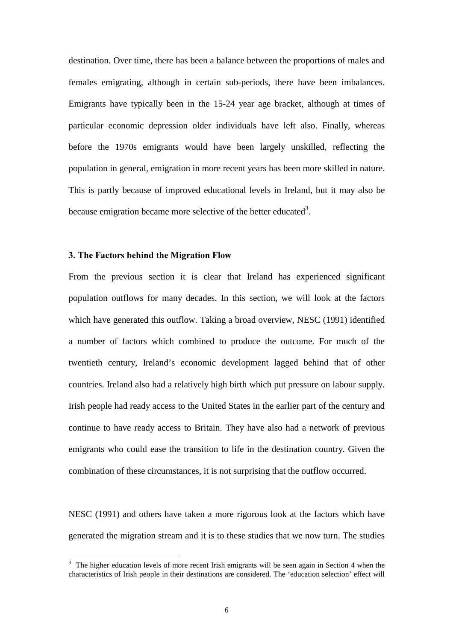destination. Over time, there has been a balance between the proportions of males and females emigrating, although in certain sub-periods, there have been imbalances. Emigrants have typically been in the 15-24 year age bracket, although at times of particular economic depression older individuals have left also. Finally, whereas before the 1970s emigrants would have been largely unskilled, reflecting the population in general, emigration in more recent years has been more skilled in nature. This is partly because of improved educational levels in Ireland, but it may also be because emigration became more selective of the better educated<sup>3</sup>.

#### 3. The Factors behind the Migration Flow

From the previous section it is clear that Ireland has experienced significant population outflows for many decades. In this section, we will look at the factors which have generated this outflow. Taking a broad overview, NESC (1991) identified a number of factors which combined to produce the outcome. For much of the twentieth century, Ireland's economic development lagged behind that of other countries. Ireland also had a relatively high birth which put pressure on labour supply. Irish people had ready access to the United States in the earlier part of the century and continue to have ready access to Britain. They have also had a network of previous emigrants who could ease the transition to life in the destination country. Given the combination of these circumstances, it is not surprising that the outflow occurred.

NESC (1991) and others have taken a more rigorous look at the factors which have generated the migration stream and it is to these studies that we now turn. The studies

<sup>&</sup>lt;sup>3</sup> The higher education levels of more recent Irish emigrants will be seen again in Section 4 when the characteristics of Irish people in their destinations are considered. The 'education selection' effect will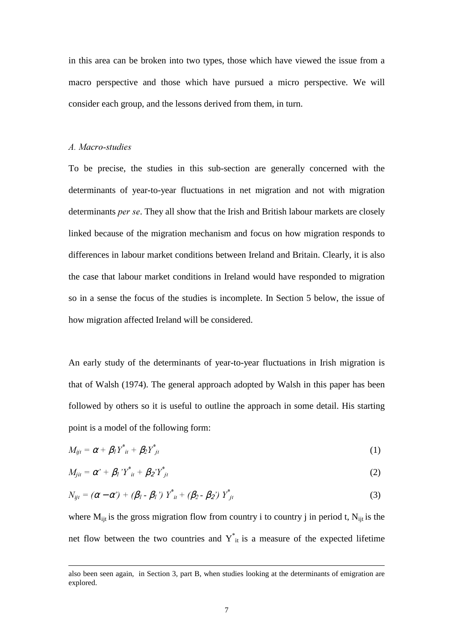in this area can be broken into two types, those which have viewed the issue from a macro perspective and those which have pursued a micro perspective. We will consider each group, and the lessons derived from them, in turn.

#### A. Macro-studies

 $\overline{a}$ 

To be precise, the studies in this sub-section are generally concerned with the determinants of year-to-year fluctuations in net migration and not with migration determinants per se. They all show that the Irish and British labour markets are closely linked because of the migration mechanism and focus on how migration responds to differences in labour market conditions between Ireland and Britain. Clearly, it is also the case that labour market conditions in Ireland would have responded to migration so in a sense the focus of the studies is incomplete. In Section 5 below, the issue of how migration affected Ireland will be considered.

An early study of the determinants of year-to-year fluctuations in Irish migration is that of Walsh (1974). The general approach adopted by Walsh in this paper has been followed by others so it is useful to outline the approach in some detail. His starting point is a model of the following form:

$$
M_{ijt} = \alpha + \beta_l Y^*_{it} + \beta_2 Y^*_{jt} \tag{1}
$$

$$
M_{jit} = \alpha' + \beta_l Y^*_{it} + \beta_2' Y^*_{jt} \tag{2}
$$

$$
N_{ijt} = (\boldsymbol{\alpha} - \boldsymbol{\alpha}') + (\boldsymbol{\beta}_l - \boldsymbol{\beta}_l') \boldsymbol{Y}_{it}^* + (\boldsymbol{\beta}_2 - \boldsymbol{\beta}_2') \boldsymbol{Y}_{jt}^* \qquad (3)
$$

where  $M_{\text{lit}}$  is the gross migration flow from country i to country j in period t,  $N_{\text{lit}}$  is the net flow between the two countries and  $Y^*_{it}$  is a measure of the expected lifetime

also been seen again, in Section 3, part B, when studies looking at the determinants of emigration are explored.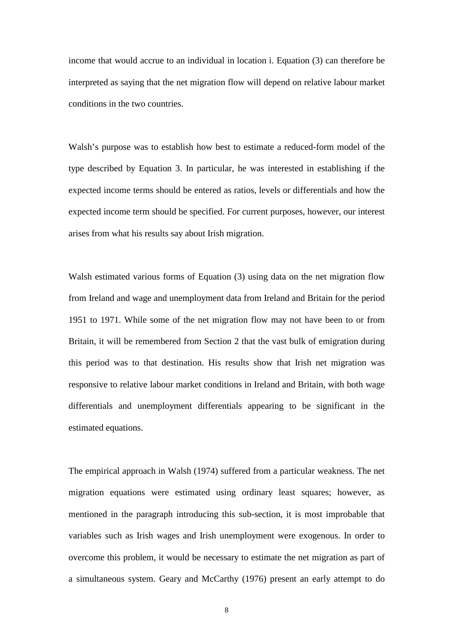income that would accrue to an individual in location i. Equation (3) can therefore be interpreted as saying that the net migration flow will depend on relative labour market conditions in the two countries.

Walsh's purpose was to establish how best to estimate a reduced-form model of the type described by Equation 3. In particular, he was interested in establishing if the expected income terms should be entered as ratios, levels or differentials and how the expected income term should be specified. For current purposes, however, our interest arises from what his results say about Irish migration.

Walsh estimated various forms of Equation (3) using data on the net migration flow from Ireland and wage and unemployment data from Ireland and Britain for the period 1951 to 1971. While some of the net migration flow may not have been to or from Britain, it will be remembered from Section 2 that the vast bulk of emigration during this period was to that destination. His results show that Irish net migration was responsive to relative labour market conditions in Ireland and Britain, with both wage differentials and unemployment differentials appearing to be significant in the estimated equations.

The empirical approach in Walsh (1974) suffered from a particular weakness. The net migration equations were estimated using ordinary least squares; however, as mentioned in the paragraph introducing this sub-section, it is most improbable that variables such as Irish wages and Irish unemployment were exogenous. In order to overcome this problem, it would be necessary to estimate the net migration as part of a simultaneous system. Geary and McCarthy (1976) present an early attempt to do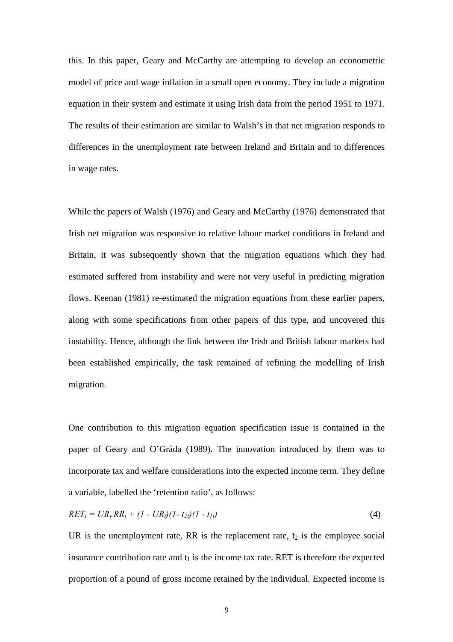this. In this paper, Geary and McCarthy are attempting to develop an econometric model of price and wage inflation in a small open economy. They include a migration equation in their system and estimate it using Irish data from the period 1951 to 1971. The results of their estimation are similar to Walsh's in that net migration responds to differences in the unemployment rate between Ireland and Britain and to differences in wage rates.

While the papers of Walsh (1976) and Geary and McCarthy (1976) demonstrated that Irish net migration was responsive to relative labour market conditions in Ireland and Britain, it was subsequently shown that the migration equations which they had estimated suffered from instability and were not very useful in predicting migration flows. Keenan (1981) re-estimated the migration equations from these earlier papers, along with some specifications from other papers of this type, and uncovered this instability. Hence, although the link between the Irish and British labour markets had been established empirically, the task remained of refining the modelling of Irish migration.

One contribution to this migration equation specification issue is contained in the paper of Geary and O'Gráda (1989). The innovation introduced by them was to incorporate tax and welfare considerations into the expected income term. They define a variable, labelled the 'retention ratio', as follows:

$$
RET_i = UR_i, RR_i + (1 - UR_i)(1 - t_{2i})(1 - t_{1i})
$$
\n(4)

UR is the unemployment rate, RR is the replacement rate,  $t_2$  is the employee social insurance contribution rate and  $t_1$  is the income tax rate. RET is therefore the expected proportion of a pound of gross income retained by the individual. Expected income is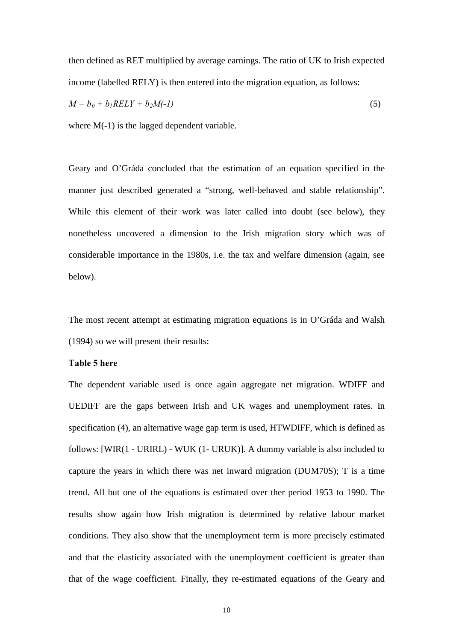then defined as RET multiplied by average earnings. The ratio of UK to Irish expected income (labelled RELY) is then entered into the migration equation, as follows:

$$
M = b_0 + b_1 RELY + b_2M(-1) \tag{5}
$$

where  $M(-1)$  is the lagged dependent variable.

Geary and O'Gráda concluded that the estimation of an equation specified in the manner just described generated a "strong, well-behaved and stable relationship". While this element of their work was later called into doubt (see below), they nonetheless uncovered a dimension to the Irish migration story which was of considerable importance in the 1980s, i.e. the tax and welfare dimension (again, see below).

The most recent attempt at estimating migration equations is in O'Gráda and Walsh (1994) so we will present their results:

#### Table 5 here

The dependent variable used is once again aggregate net migration. WDIFF and UEDIFF are the gaps between Irish and UK wages and unemployment rates. In specification (4), an alternative wage gap term is used, HTWDIFF, which is defined as follows: [WIR(1 - URIRL) - WUK (1- URUK)]. A dummy variable is also included to capture the years in which there was net inward migration (DUM70S); T is a time trend. All but one of the equations is estimated over ther period 1953 to 1990. The results show again how Irish migration is determined by relative labour market conditions. They also show that the unemployment term is more precisely estimated and that the elasticity associated with the unemployment coefficient is greater than that of the wage coefficient. Finally, they re-estimated equations of the Geary and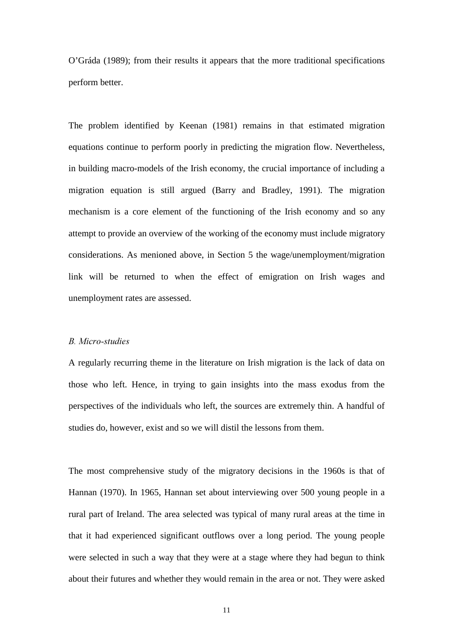O'Gráda (1989); from their results it appears that the more traditional specifications perform better.

The problem identified by Keenan (1981) remains in that estimated migration equations continue to perform poorly in predicting the migration flow. Nevertheless, in building macro-models of the Irish economy, the crucial importance of including a migration equation is still argued (Barry and Bradley, 1991). The migration mechanism is a core element of the functioning of the Irish economy and so any attempt to provide an overview of the working of the economy must include migratory considerations. As menioned above, in Section 5 the wage/unemployment/migration link will be returned to when the effect of emigration on Irish wages and unemployment rates are assessed.

#### B. Micro-studies

A regularly recurring theme in the literature on Irish migration is the lack of data on those who left. Hence, in trying to gain insights into the mass exodus from the perspectives of the individuals who left, the sources are extremely thin. A handful of studies do, however, exist and so we will distil the lessons from them.

The most comprehensive study of the migratory decisions in the 1960s is that of Hannan (1970). In 1965, Hannan set about interviewing over 500 young people in a rural part of Ireland. The area selected was typical of many rural areas at the time in that it had experienced significant outflows over a long period. The young people were selected in such a way that they were at a stage where they had begun to think about their futures and whether they would remain in the area or not. They were asked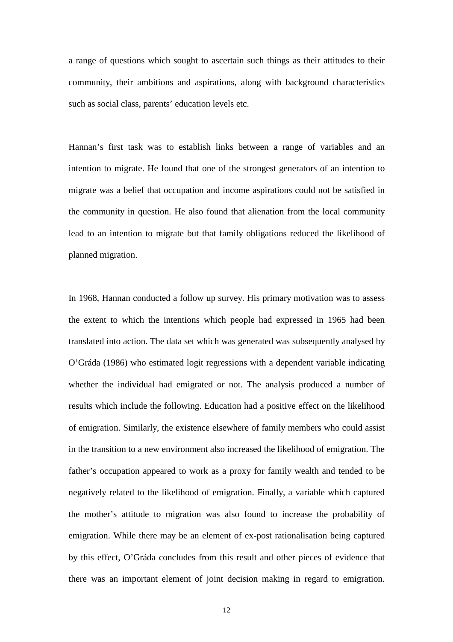a range of questions which sought to ascertain such things as their attitudes to their community, their ambitions and aspirations, along with background characteristics such as social class, parents' education levels etc.

Hannan's first task was to establish links between a range of variables and an intention to migrate. He found that one of the strongest generators of an intention to migrate was a belief that occupation and income aspirations could not be satisfied in the community in question. He also found that alienation from the local community lead to an intention to migrate but that family obligations reduced the likelihood of planned migration.

In 1968, Hannan conducted a follow up survey. His primary motivation was to assess the extent to which the intentions which people had expressed in 1965 had been translated into action. The data set which was generated was subsequently analysed by O'Gráda (1986) who estimated logit regressions with a dependent variable indicating whether the individual had emigrated or not. The analysis produced a number of results which include the following. Education had a positive effect on the likelihood of emigration. Similarly, the existence elsewhere of family members who could assist in the transition to a new environment also increased the likelihood of emigration. The father's occupation appeared to work as a proxy for family wealth and tended to be negatively related to the likelihood of emigration. Finally, a variable which captured the mother's attitude to migration was also found to increase the probability of emigration. While there may be an element of ex-post rationalisation being captured by this effect, O'Gráda concludes from this result and other pieces of evidence that there was an important element of joint decision making in regard to emigration.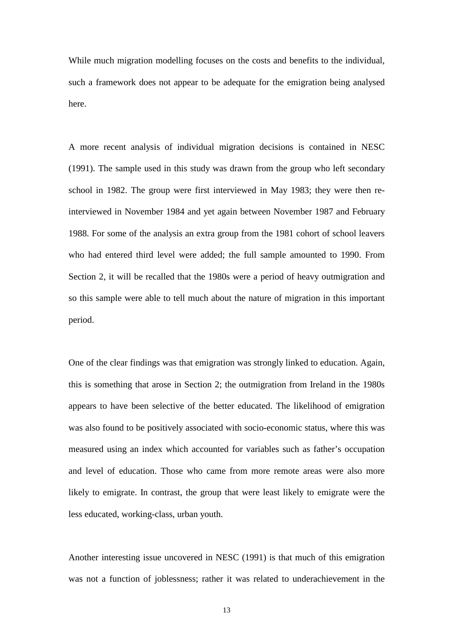While much migration modelling focuses on the costs and benefits to the individual, such a framework does not appear to be adequate for the emigration being analysed here.

A more recent analysis of individual migration decisions is contained in NESC (1991). The sample used in this study was drawn from the group who left secondary school in 1982. The group were first interviewed in May 1983; they were then reinterviewed in November 1984 and yet again between November 1987 and February 1988. For some of the analysis an extra group from the 1981 cohort of school leavers who had entered third level were added; the full sample amounted to 1990. From Section 2, it will be recalled that the 1980s were a period of heavy outmigration and so this sample were able to tell much about the nature of migration in this important period.

One of the clear findings was that emigration was strongly linked to education. Again, this is something that arose in Section 2; the outmigration from Ireland in the 1980s appears to have been selective of the better educated. The likelihood of emigration was also found to be positively associated with socio-economic status, where this was measured using an index which accounted for variables such as father's occupation and level of education. Those who came from more remote areas were also more likely to emigrate. In contrast, the group that were least likely to emigrate were the less educated, working-class, urban youth.

Another interesting issue uncovered in NESC (1991) is that much of this emigration was not a function of joblessness; rather it was related to underachievement in the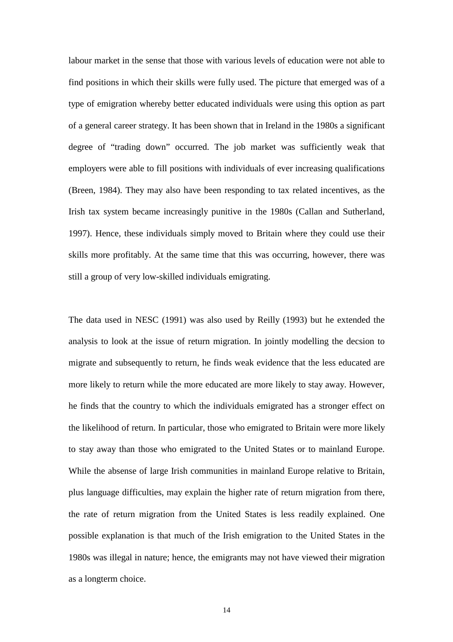labour market in the sense that those with various levels of education were not able to find positions in which their skills were fully used. The picture that emerged was of a type of emigration whereby better educated individuals were using this option as part of a general career strategy. It has been shown that in Ireland in the 1980s a significant degree of "trading down" occurred. The job market was sufficiently weak that employers were able to fill positions with individuals of ever increasing qualifications (Breen, 1984). They may also have been responding to tax related incentives, as the Irish tax system became increasingly punitive in the 1980s (Callan and Sutherland, 1997). Hence, these individuals simply moved to Britain where they could use their skills more profitably. At the same time that this was occurring, however, there was still a group of very low-skilled individuals emigrating.

The data used in NESC (1991) was also used by Reilly (1993) but he extended the analysis to look at the issue of return migration. In jointly modelling the decsion to migrate and subsequently to return, he finds weak evidence that the less educated are more likely to return while the more educated are more likely to stay away. However, he finds that the country to which the individuals emigrated has a stronger effect on the likelihood of return. In particular, those who emigrated to Britain were more likely to stay away than those who emigrated to the United States or to mainland Europe. While the absense of large Irish communities in mainland Europe relative to Britain, plus language difficulties, may explain the higher rate of return migration from there, the rate of return migration from the United States is less readily explained. One possible explanation is that much of the Irish emigration to the United States in the 1980s was illegal in nature; hence, the emigrants may not have viewed their migration as a longterm choice.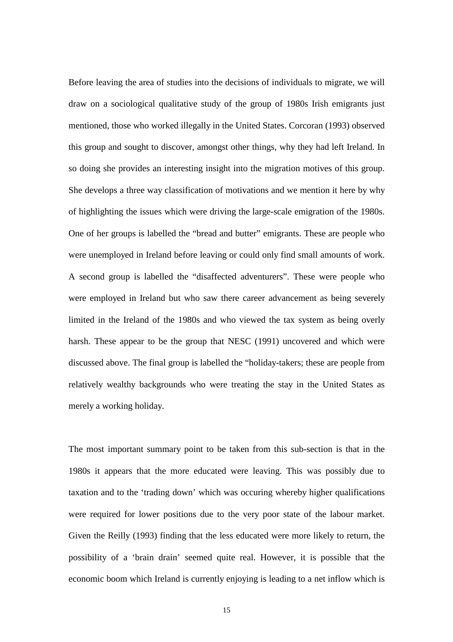Before leaving the area of studies into the decisions of individuals to migrate, we will draw on a sociological qualitative study of the group of 1980s Irish emigrants just mentioned, those who worked illegally in the United States. Corcoran (1993) observed this group and sought to discover, amongst other things, why they had left Ireland. In so doing she provides an interesting insight into the migration motives of this group. She develops a three way classification of motivations and we mention it here by why of highlighting the issues which were driving the large-scale emigration of the 1980s. One of her groups is labelled the "bread and butter" emigrants. These are people who were unemployed in Ireland before leaving or could only find small amounts of work. A second group is labelled the "disaffected adventurers". These were people who were employed in Ireland but who saw there career advancement as being severely limited in the Ireland of the 1980s and who viewed the tax system as being overly harsh. These appear to be the group that NESC (1991) uncovered and which were discussed above. The final group is labelled the "holiday-takers; these are people from relatively wealthy backgrounds who were treating the stay in the United States as merely a working holiday.

The most important summary point to be taken from this sub-section is that in the 1980s it appears that the more educated were leaving. This was possibly due to taxation and to the 'trading down' which was occuring whereby higher qualifications were required for lower positions due to the very poor state of the labour market. Given the Reilly (1993) finding that the less educated were more likely to return, the possibility of a 'brain drain' seemed quite real. However, it is possible that the economic boom which Ireland is currently enjoying is leading to a net inflow which is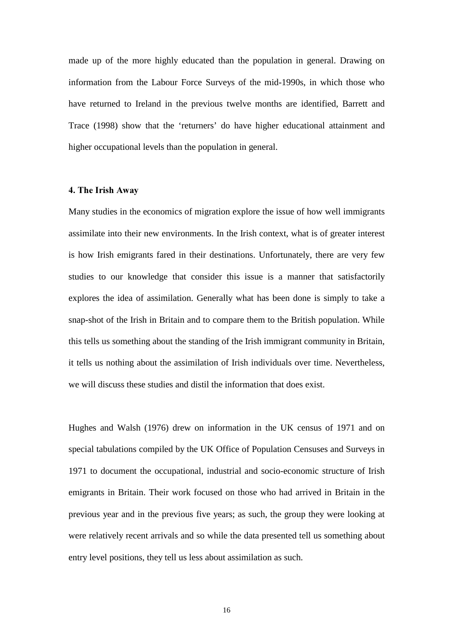made up of the more highly educated than the population in general. Drawing on information from the Labour Force Surveys of the mid-1990s, in which those who have returned to Ireland in the previous twelve months are identified, Barrett and Trace (1998) show that the 'returners' do have higher educational attainment and higher occupational levels than the population in general.

#### 4. The Irish Away

Many studies in the economics of migration explore the issue of how well immigrants assimilate into their new environments. In the Irish context, what is of greater interest is how Irish emigrants fared in their destinations. Unfortunately, there are very few studies to our knowledge that consider this issue is a manner that satisfactorily explores the idea of assimilation. Generally what has been done is simply to take a snap-shot of the Irish in Britain and to compare them to the British population. While this tells us something about the standing of the Irish immigrant community in Britain, it tells us nothing about the assimilation of Irish individuals over time. Nevertheless, we will discuss these studies and distil the information that does exist.

Hughes and Walsh (1976) drew on information in the UK census of 1971 and on special tabulations compiled by the UK Office of Population Censuses and Surveys in 1971 to document the occupational, industrial and socio-economic structure of Irish emigrants in Britain. Their work focused on those who had arrived in Britain in the previous year and in the previous five years; as such, the group they were looking at were relatively recent arrivals and so while the data presented tell us something about entry level positions, they tell us less about assimilation as such.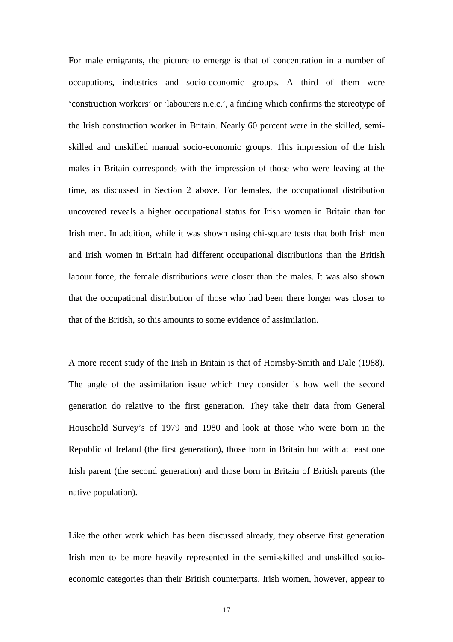For male emigrants, the picture to emerge is that of concentration in a number of occupations, industries and socio-economic groups. A third of them were 'construction workers' or 'labourers n.e.c.', a finding which confirms the stereotype of the Irish construction worker in Britain. Nearly 60 percent were in the skilled, semiskilled and unskilled manual socio-economic groups. This impression of the Irish males in Britain corresponds with the impression of those who were leaving at the time, as discussed in Section 2 above. For females, the occupational distribution uncovered reveals a higher occupational status for Irish women in Britain than for Irish men. In addition, while it was shown using chi-square tests that both Irish men and Irish women in Britain had different occupational distributions than the British labour force, the female distributions were closer than the males. It was also shown that the occupational distribution of those who had been there longer was closer to that of the British, so this amounts to some evidence of assimilation.

A more recent study of the Irish in Britain is that of Hornsby-Smith and Dale (1988). The angle of the assimilation issue which they consider is how well the second generation do relative to the first generation. They take their data from General Household Survey's of 1979 and 1980 and look at those who were born in the Republic of Ireland (the first generation), those born in Britain but with at least one Irish parent (the second generation) and those born in Britain of British parents (the native population).

Like the other work which has been discussed already, they observe first generation Irish men to be more heavily represented in the semi-skilled and unskilled socioeconomic categories than their British counterparts. Irish women, however, appear to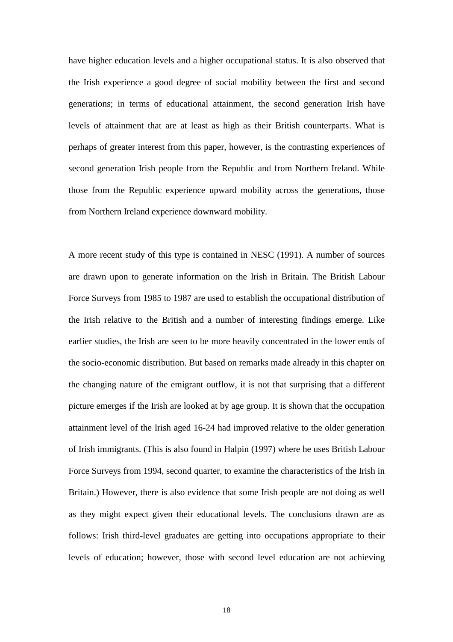have higher education levels and a higher occupational status. It is also observed that the Irish experience a good degree of social mobility between the first and second generations; in terms of educational attainment, the second generation Irish have levels of attainment that are at least as high as their British counterparts. What is perhaps of greater interest from this paper, however, is the contrasting experiences of second generation Irish people from the Republic and from Northern Ireland. While those from the Republic experience upward mobility across the generations, those from Northern Ireland experience downward mobility.

A more recent study of this type is contained in NESC (1991). A number of sources are drawn upon to generate information on the Irish in Britain. The British Labour Force Surveys from 1985 to 1987 are used to establish the occupational distribution of the Irish relative to the British and a number of interesting findings emerge. Like earlier studies, the Irish are seen to be more heavily concentrated in the lower ends of the socio-economic distribution. But based on remarks made already in this chapter on the changing nature of the emigrant outflow, it is not that surprising that a different picture emerges if the Irish are looked at by age group. It is shown that the occupation attainment level of the Irish aged 16-24 had improved relative to the older generation of Irish immigrants. (This is also found in Halpin (1997) where he uses British Labour Force Surveys from 1994, second quarter, to examine the characteristics of the Irish in Britain.) However, there is also evidence that some Irish people are not doing as well as they might expect given their educational levels. The conclusions drawn are as follows: Irish third-level graduates are getting into occupations appropriate to their levels of education; however, those with second level education are not achieving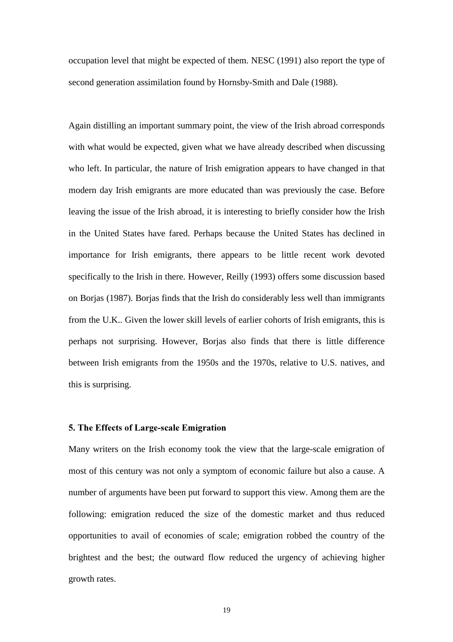occupation level that might be expected of them. NESC (1991) also report the type of second generation assimilation found by Hornsby-Smith and Dale (1988).

Again distilling an important summary point, the view of the Irish abroad corresponds with what would be expected, given what we have already described when discussing who left. In particular, the nature of Irish emigration appears to have changed in that modern day Irish emigrants are more educated than was previously the case. Before leaving the issue of the Irish abroad, it is interesting to briefly consider how the Irish in the United States have fared. Perhaps because the United States has declined in importance for Irish emigrants, there appears to be little recent work devoted specifically to the Irish in there. However, Reilly (1993) offers some discussion based on Borjas (1987). Borjas finds that the Irish do considerably less well than immigrants from the U.K.. Given the lower skill levels of earlier cohorts of Irish emigrants, this is perhaps not surprising. However, Borjas also finds that there is little difference between Irish emigrants from the 1950s and the 1970s, relative to U.S. natives, and this is surprising.

#### 5. The Effects of Large-scale Emigration

Many writers on the Irish economy took the view that the large-scale emigration of most of this century was not only a symptom of economic failure but also a cause. A number of arguments have been put forward to support this view. Among them are the following: emigration reduced the size of the domestic market and thus reduced opportunities to avail of economies of scale; emigration robbed the country of the brightest and the best; the outward flow reduced the urgency of achieving higher growth rates.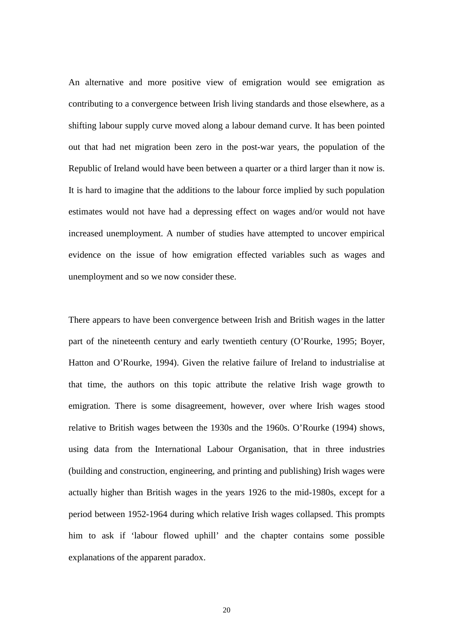An alternative and more positive view of emigration would see emigration as contributing to a convergence between Irish living standards and those elsewhere, as a shifting labour supply curve moved along a labour demand curve. It has been pointed out that had net migration been zero in the post-war years, the population of the Republic of Ireland would have been between a quarter or a third larger than it now is. It is hard to imagine that the additions to the labour force implied by such population estimates would not have had a depressing effect on wages and/or would not have increased unemployment. A number of studies have attempted to uncover empirical evidence on the issue of how emigration effected variables such as wages and unemployment and so we now consider these.

There appears to have been convergence between Irish and British wages in the latter part of the nineteenth century and early twentieth century (O'Rourke, 1995; Boyer, Hatton and O'Rourke, 1994). Given the relative failure of Ireland to industrialise at that time, the authors on this topic attribute the relative Irish wage growth to emigration. There is some disagreement, however, over where Irish wages stood relative to British wages between the 1930s and the 1960s. O'Rourke (1994) shows, using data from the International Labour Organisation, that in three industries (building and construction, engineering, and printing and publishing) Irish wages were actually higher than British wages in the years 1926 to the mid-1980s, except for a period between 1952-1964 during which relative Irish wages collapsed. This prompts him to ask if 'labour flowed uphill' and the chapter contains some possible explanations of the apparent paradox.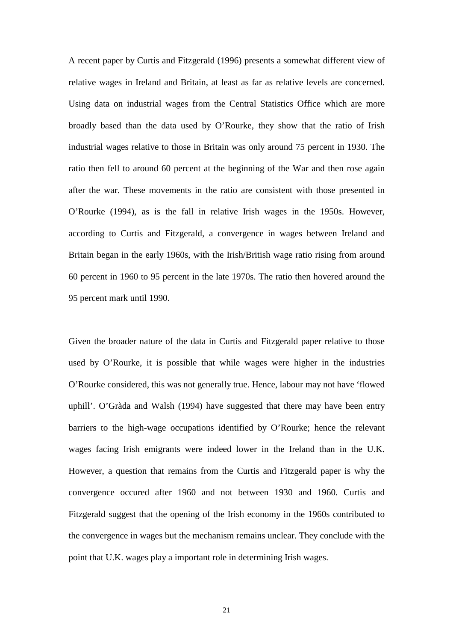A recent paper by Curtis and Fitzgerald (1996) presents a somewhat different view of relative wages in Ireland and Britain, at least as far as relative levels are concerned. Using data on industrial wages from the Central Statistics Office which are more broadly based than the data used by O'Rourke, they show that the ratio of Irish industrial wages relative to those in Britain was only around 75 percent in 1930. The ratio then fell to around 60 percent at the beginning of the War and then rose again after the war. These movements in the ratio are consistent with those presented in O'Rourke (1994), as is the fall in relative Irish wages in the 1950s. However, according to Curtis and Fitzgerald, a convergence in wages between Ireland and Britain began in the early 1960s, with the Irish/British wage ratio rising from around 60 percent in 1960 to 95 percent in the late 1970s. The ratio then hovered around the 95 percent mark until 1990.

Given the broader nature of the data in Curtis and Fitzgerald paper relative to those used by O'Rourke, it is possible that while wages were higher in the industries O'Rourke considered, this was not generally true. Hence, labour may not have 'flowed uphill'. O'Gràda and Walsh (1994) have suggested that there may have been entry barriers to the high-wage occupations identified by O'Rourke; hence the relevant wages facing Irish emigrants were indeed lower in the Ireland than in the U.K. However, a question that remains from the Curtis and Fitzgerald paper is why the convergence occured after 1960 and not between 1930 and 1960. Curtis and Fitzgerald suggest that the opening of the Irish economy in the 1960s contributed to the convergence in wages but the mechanism remains unclear. They conclude with the point that U.K. wages play a important role in determining Irish wages.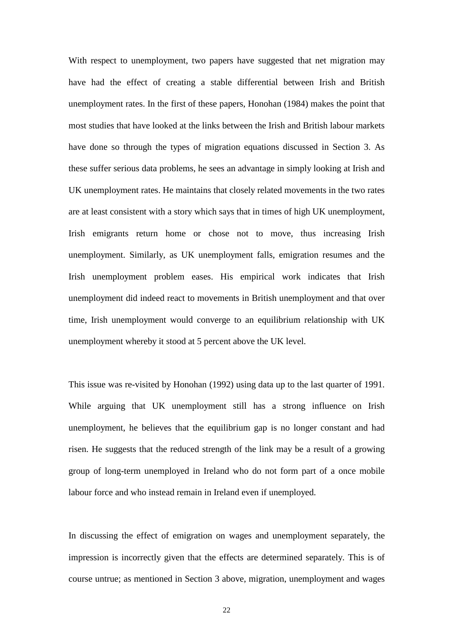With respect to unemployment, two papers have suggested that net migration may have had the effect of creating a stable differential between Irish and British unemployment rates. In the first of these papers, Honohan (1984) makes the point that most studies that have looked at the links between the Irish and British labour markets have done so through the types of migration equations discussed in Section 3. As these suffer serious data problems, he sees an advantage in simply looking at Irish and UK unemployment rates. He maintains that closely related movements in the two rates are at least consistent with a story which says that in times of high UK unemployment, Irish emigrants return home or chose not to move, thus increasing Irish unemployment. Similarly, as UK unemployment falls, emigration resumes and the Irish unemployment problem eases. His empirical work indicates that Irish unemployment did indeed react to movements in British unemployment and that over time, Irish unemployment would converge to an equilibrium relationship with UK unemployment whereby it stood at 5 percent above the UK level.

This issue was re-visited by Honohan (1992) using data up to the last quarter of 1991. While arguing that UK unemployment still has a strong influence on Irish unemployment, he believes that the equilibrium gap is no longer constant and had risen. He suggests that the reduced strength of the link may be a result of a growing group of long-term unemployed in Ireland who do not form part of a once mobile labour force and who instead remain in Ireland even if unemployed.

In discussing the effect of emigration on wages and unemployment separately, the impression is incorrectly given that the effects are determined separately. This is of course untrue; as mentioned in Section 3 above, migration, unemployment and wages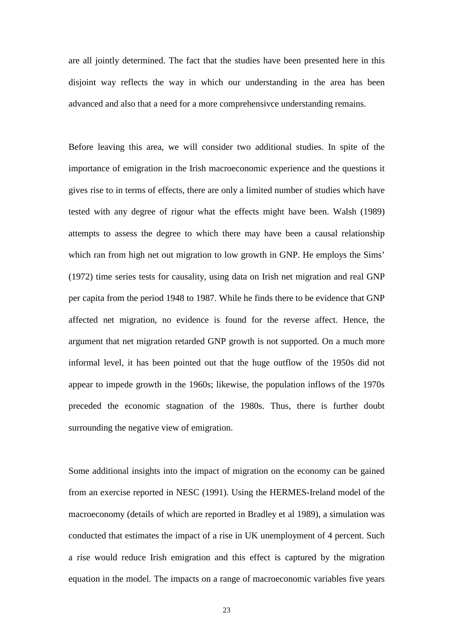are all jointly determined. The fact that the studies have been presented here in this disjoint way reflects the way in which our understanding in the area has been advanced and also that a need for a more comprehensivce understanding remains.

Before leaving this area, we will consider two additional studies. In spite of the importance of emigration in the Irish macroeconomic experience and the questions it gives rise to in terms of effects, there are only a limited number of studies which have tested with any degree of rigour what the effects might have been. Walsh (1989) attempts to assess the degree to which there may have been a causal relationship which ran from high net out migration to low growth in GNP. He employs the Sims' (1972) time series tests for causality, using data on Irish net migration and real GNP per capita from the period 1948 to 1987. While he finds there to be evidence that GNP affected net migration, no evidence is found for the reverse affect. Hence, the argument that net migration retarded GNP growth is not supported. On a much more informal level, it has been pointed out that the huge outflow of the 1950s did not appear to impede growth in the 1960s; likewise, the population inflows of the 1970s preceded the economic stagnation of the 1980s. Thus, there is further doubt surrounding the negative view of emigration.

Some additional insights into the impact of migration on the economy can be gained from an exercise reported in NESC (1991). Using the HERMES-Ireland model of the macroeconomy (details of which are reported in Bradley et al 1989), a simulation was conducted that estimates the impact of a rise in UK unemployment of 4 percent. Such a rise would reduce Irish emigration and this effect is captured by the migration equation in the model. The impacts on a range of macroeconomic variables five years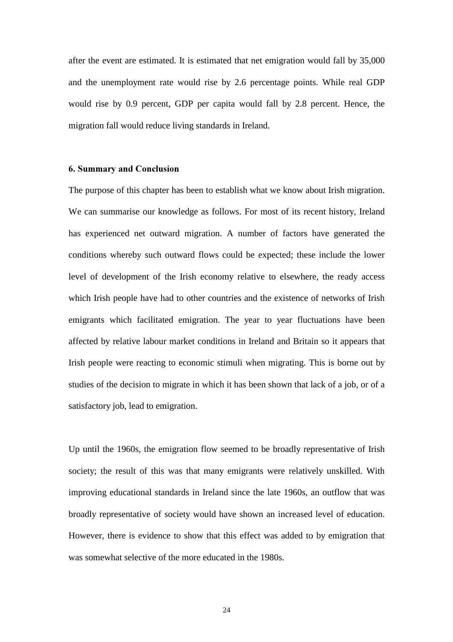after the event are estimated. It is estimated that net emigration would fall by 35,000 and the unemployment rate would rise by 2.6 percentage points. While real GDP would rise by 0.9 percent, GDP per capita would fall by 2.8 percent. Hence, the migration fall would reduce living standards in Ireland.

#### 6. Summary and Conclusion

The purpose of this chapter has been to establish what we know about Irish migration. We can summarise our knowledge as follows. For most of its recent history, Ireland has experienced net outward migration. A number of factors have generated the conditions whereby such outward flows could be expected; these include the lower level of development of the Irish economy relative to elsewhere, the ready access which Irish people have had to other countries and the existence of networks of Irish emigrants which facilitated emigration. The year to year fluctuations have been affected by relative labour market conditions in Ireland and Britain so it appears that Irish people were reacting to economic stimuli when migrating. This is borne out by studies of the decision to migrate in which it has been shown that lack of a job, or of a satisfactory job, lead to emigration.

Up until the 1960s, the emigration flow seemed to be broadly representative of Irish society; the result of this was that many emigrants were relatively unskilled. With improving educational standards in Ireland since the late 1960s, an outflow that was broadly representative of society would have shown an increased level of education. However, there is evidence to show that this effect was added to by emigration that was somewhat selective of the more educated in the 1980s.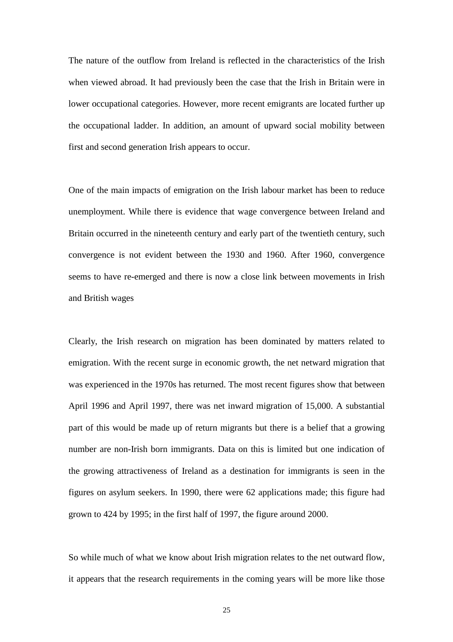The nature of the outflow from Ireland is reflected in the characteristics of the Irish when viewed abroad. It had previously been the case that the Irish in Britain were in lower occupational categories. However, more recent emigrants are located further up the occupational ladder. In addition, an amount of upward social mobility between first and second generation Irish appears to occur.

One of the main impacts of emigration on the Irish labour market has been to reduce unemployment. While there is evidence that wage convergence between Ireland and Britain occurred in the nineteenth century and early part of the twentieth century, such convergence is not evident between the 1930 and 1960. After 1960, convergence seems to have re-emerged and there is now a close link between movements in Irish and British wages

Clearly, the Irish research on migration has been dominated by matters related to emigration. With the recent surge in economic growth, the net netward migration that was experienced in the 1970s has returned. The most recent figures show that between April 1996 and April 1997, there was net inward migration of 15,000. A substantial part of this would be made up of return migrants but there is a belief that a growing number are non-Irish born immigrants. Data on this is limited but one indication of the growing attractiveness of Ireland as a destination for immigrants is seen in the figures on asylum seekers. In 1990, there were 62 applications made; this figure had grown to 424 by 1995; in the first half of 1997, the figure around 2000.

So while much of what we know about Irish migration relates to the net outward flow, it appears that the research requirements in the coming years will be more like those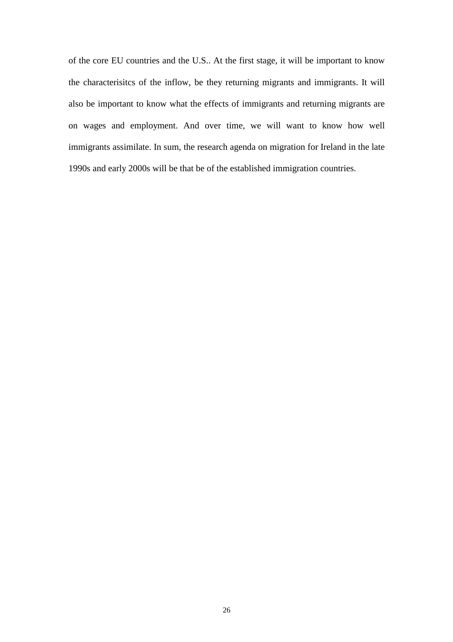of the core EU countries and the U.S.. At the first stage, it will be important to know the characterisitcs of the inflow, be they returning migrants and immigrants. It will also be important to know what the effects of immigrants and returning migrants are on wages and employment. And over time, we will want to know how well immigrants assimilate. In sum, the research agenda on migration for Ireland in the late 1990s and early 2000s will be that be of the established immigration countries.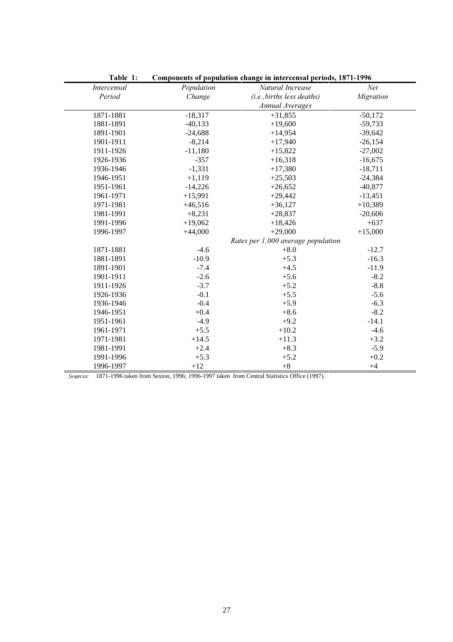| radie 1.    |            | Components of population enange in intercensal perious, 1871-1990 |           |
|-------------|------------|-------------------------------------------------------------------|-----------|
| Intercensal | Population | Natural Increase                                                  | Net       |
| Period      | Change     | (i.e., births less deaths)                                        | Migration |
|             |            | <b>Annual Averages</b>                                            |           |
| 1871-1881   | $-18,317$  | $+31,855$                                                         | $-50,172$ |
| 1881-1891   | $-40,133$  | $+19,600$                                                         | $-59,733$ |
| 1891-1901   | $-24,688$  | $+14,954$                                                         | $-39,642$ |
| 1901-1911   | $-8,214$   | $+17,940$                                                         | $-26,154$ |
| 1911-1926   | $-11,180$  | $+15,822$                                                         | $-27,002$ |
| 1926-1936   | $-357$     | $+16,318$                                                         | $-16,675$ |
| 1936-1946   | $-1,331$   | $+17,380$                                                         | $-18,711$ |
| 1946-1951   | $+1,119$   | $+25,503$                                                         | $-24,384$ |
| 1951-1961   | $-14,226$  | $+26,652$                                                         | $-40,877$ |
| 1961-1971   | $+15,991$  | $+29,442$                                                         | $-13,451$ |
| 1971-1981   | $+46,516$  | $+36,127$                                                         | $+10,389$ |
| 1981-1991   | $+8,231$   | $+28,837$                                                         | $-20,606$ |
| 1991-1996   | $+19,062$  | $+18,426$                                                         | $+637$    |
| 1996-1997   | $+44,000$  | $+29,000$                                                         | $+15,000$ |
|             |            | Rates per 1,000 average population                                |           |
| 1871-1881   | $-4.6$     | $+8.0$                                                            | $-12.7$   |
| 1881-1891   | $-10.9$    | $+5.3$                                                            | $-16.3$   |
| 1891-1901   | $-7.4$     | $+4.5$                                                            | $-11.9$   |
| 1901-1911   | $-2.6$     | $+5.6$                                                            | $-8.2$    |
| 1911-1926   | $-3.7$     | $+5.2$                                                            | $-8.8$    |
| 1926-1936   | $-0.1$     | $+5.5$                                                            | $-5.6$    |
| 1936-1946   | $-0.4$     | $+5.9$                                                            | $-6.3$    |
| 1946-1951   | $+0.4$     | $+8.6$                                                            | $-8.2$    |
| 1951-1961   | $-4.9$     | $+9.2$                                                            | $-14.1$   |
| 1961-1971   | $+5.5$     | $+10.2$                                                           | $-4.6$    |
| 1971-1981   | $+14.5$    | $+11.3$                                                           | $+3.2$    |
| 1981-1991   | $+2.4$     | $+8.3$                                                            | $-5.9$    |
| 1991-1996   | $+5.3$     | $+5.2$                                                            | $+0.2$    |
| 1996-1997   | $+12$      | $+8$                                                              | $+4$      |

Table 1: Components of population change in intercensal periods, 1871-1996

Sources: 1871-1996 taken from Sexton, 1996; 1996-1997 taken from Central Statistics Office (1997).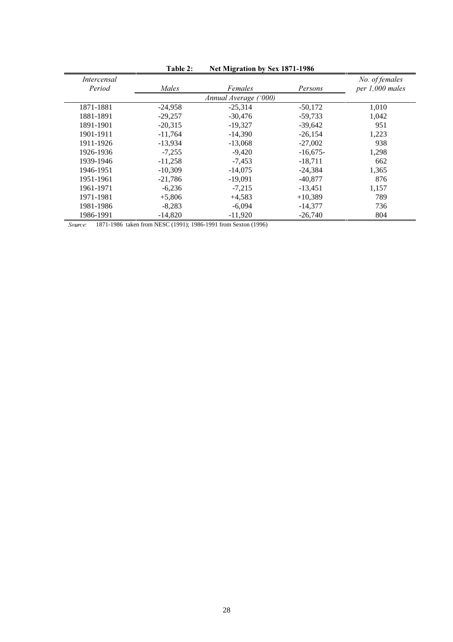|                    | $1$ avit $2$ . | Territorial by Sex 10/1-1700                                 |            |                   |
|--------------------|----------------|--------------------------------------------------------------|------------|-------------------|
| <i>Intercensal</i> |                |                                                              |            | No. of females    |
| Period             | Males          | Females                                                      | Persons    | $per 1,000$ males |
|                    |                | Annual Average ('000)                                        |            |                   |
| 1871-1881          | $-24,958$      | $-25,314$                                                    | $-50,172$  | 1,010             |
| 1881-1891          | $-29,257$      | $-30,476$                                                    | $-59,733$  | 1,042             |
| 1891-1901          | $-20,315$      | $-19,327$                                                    | $-39,642$  | 951               |
| 1901-1911          | $-11,764$      | $-14,390$                                                    | $-26,154$  | 1,223             |
| 1911-1926          | $-13,934$      | $-13,068$                                                    | $-27,002$  | 938               |
| 1926-1936          | $-7,255$       | $-9,420$                                                     | $-16,675-$ | 1,298             |
| 1939-1946          | $-11,258$      | $-7,453$                                                     | $-18,711$  | 662               |
| 1946-1951          | $-10,309$      | $-14,075$                                                    | $-24,384$  | 1,365             |
| 1951-1961          | $-21,786$      | $-19,091$                                                    | $-40,877$  | 876               |
| 1961-1971          | $-6,236$       | $-7,215$                                                     | $-13,451$  | 1,157             |
| 1971-1981          | $+5,806$       | $+4,583$                                                     | $+10,389$  | 789               |
| 1981-1986          | $-8,283$       | $-6,094$                                                     | $-14,377$  | 736               |
| 1986-1991          | $-14,820$      | $-11,920$                                                    | $-26,740$  | 804               |
| $\sim$             |                | $1071, 1006, 1, 0, 1000, 1001, 1006, 1001, 0, 0, 1000, 1000$ |            |                   |

Table 2: Net Migration by Sex  $1871-1986$ 

Source: 1871-1986 taken from NESC (1991); 1986-1991 from Sexton (1996)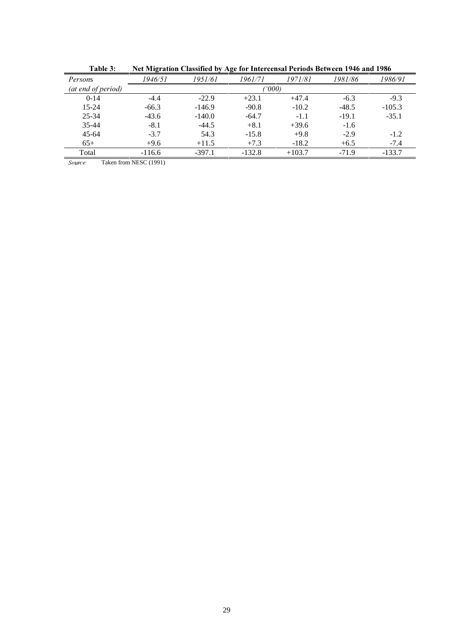|                    | $\cdots$ |          |          |          |         |          |
|--------------------|----------|----------|----------|----------|---------|----------|
| Persons            | 1946/51  | 1951/61  | 1961/71  | 1971/81  | 1981/86 | 1986/91  |
| (at end of period) |          |          | ^000)    |          |         |          |
| $0-14$             | $-4.4$   | $-22.9$  | $+23.1$  | $+47.4$  | $-6.3$  | $-9.3$   |
| $15 - 24$          | $-66.3$  | $-146.9$ | $-90.8$  | $-10.2$  | $-48.5$ | $-105.3$ |
| $25 - 34$          | $-43.6$  | $-140.0$ | $-64.7$  | $-1.1$   | $-19.1$ | $-35.1$  |
| $35 - 44$          | $-8.1$   | $-44.5$  | $+8.1$   | $+39.6$  | $-1.6$  |          |
| $45 - 64$          | $-3.7$   | 54.3     | $-15.8$  | $+9.8$   | $-2.9$  | $-1.2$   |
| $65+$              | $+9.6$   | $+11.5$  | $+7.3$   | $-18.2$  | $+6.5$  | $-7.4$   |
| Total              | $-116.6$ | $-397.1$ | $-132.8$ | $+103.7$ | $-71.9$ | $-133.7$ |
|                    |          |          |          |          |         |          |

Table 3: Net Migration Classified by Age for Intercensal Periods Between 1946 and 1986

Source: Taken from NESC (1991)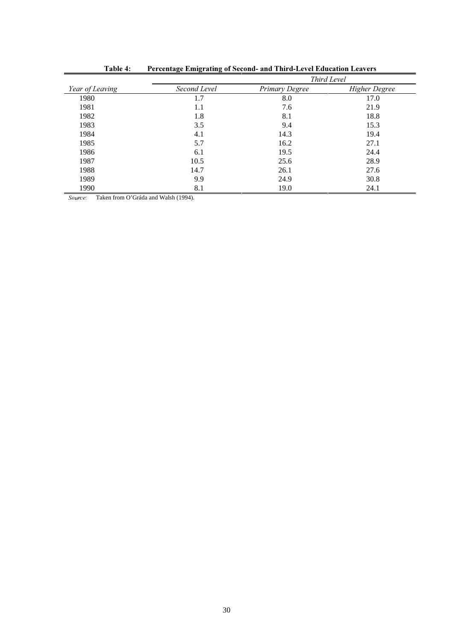|                 |              | Third Level    |               |
|-----------------|--------------|----------------|---------------|
| Year of Leaving | Second Level | Primary Degree | Higher Degree |
| 1980            | 1.7          | 8.0            | 17.0          |
| 1981            | 1.1          | 7.6            | 21.9          |
| 1982            | 1.8          | 8.1            | 18.8          |
| 1983            | 3.5          | 9.4            | 15.3          |
| 1984            | 4.1          | 14.3           | 19.4          |
| 1985            | 5.7          | 16.2           | 27.1          |
| 1986            | 6.1          | 19.5           | 24.4          |
| 1987            | 10.5         | 25.6           | 28.9          |
| 1988            | 14.7         | 26.1           | 27.6          |
| 1989            | 9.9          | 24.9           | 30.8          |
| 1990            | 8.1          | 19.0           | 24.1          |

Table 4: Percentage Emigrating of Second- and Third-Level Education Leavers

Source: Taken from O'Gráda and Walsh (1994).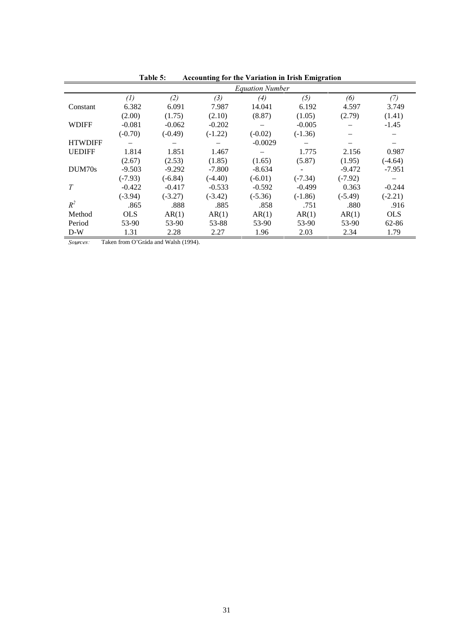|                |                   | Tapie 5:          |           | Accounting for the variation in Irish Enligration |           |           |            |
|----------------|-------------------|-------------------|-----------|---------------------------------------------------|-----------|-----------|------------|
|                |                   |                   |           | <b>Equation Number</b>                            |           |           |            |
|                | $\left( l\right)$ | (2)               | (3)       | (4)                                               | (5)       | (6)       | (7)        |
| Constant       | 6.382             | 6.091             | 7.987     | 14.041                                            | 6.192     | 4.597     | 3.749      |
|                | (2.00)            | (1.75)            | (2.10)    | (8.87)                                            | (1.05)    | (2.79)    | (1.41)     |
| <b>WDIFF</b>   | $-0.081$          | $-0.062$          | $-0.202$  |                                                   | $-0.005$  |           | $-1.45$    |
|                | $(-0.70)$         | $(-0.49)$         | $(-1.22)$ | $(-0.02)$                                         | $(-1.36)$ |           |            |
| <b>HTWDIFF</b> |                   |                   |           | $-0.0029$                                         |           |           |            |
| <b>UEDIFF</b>  | 1.814             | 1.851             | 1.467     |                                                   | 1.775     | 2.156     | 0.987      |
|                | (2.67)            | (2.53)            | (1.85)    | (1.65)                                            | (5.87)    | (1.95)    | $(-4.64)$  |
| DUM70s         | $-9.503$          | $-9.292$          | $-7.800$  | $-8.634$                                          |           | $-9.472$  | $-7.951$   |
|                | $(-7.93)$         | $(-6.84)$         | $(-4.40)$ | $(-6.01)$                                         | $(-7.34)$ | $(-7.92)$ |            |
| $\tau$         | $-0.422$          | $-0.417$          | $-0.533$  | $-0.592$                                          | $-0.499$  | 0.363     | $-0.244$   |
|                | $(-3.94)$         | $(-3.27)$         | $(-3.42)$ | $(-5.36)$                                         | $(-1.86)$ | $(-5.49)$ | $(-2.21)$  |
| $R^2$          | .865              | .888              | .885      | .858                                              | .751      | .880      | .916       |
| Method         | OLS.              | AR(1)             | AR(1)     | AR(1)                                             | AR(1)     | AR(1)     | <b>OLS</b> |
| Period         | 53-90             | 53-90             | 53-88     | 53-90                                             | 53-90     | 53-90     | 62-86      |
| $D-W$          | 1.31              | 2.28              | 2.27      | 1.96                                              | 2.03      | 2.34      | 1.79       |
| m 1            | $\sim$            | 1 TTT 1 1 /100 AV |           |                                                   |           |           |            |

| <b>Accounting for the Variation in Irish Emigration</b> |
|---------------------------------------------------------|
|---------------------------------------------------------|

Sources: Taken from O'Gráda and Walsh (1994).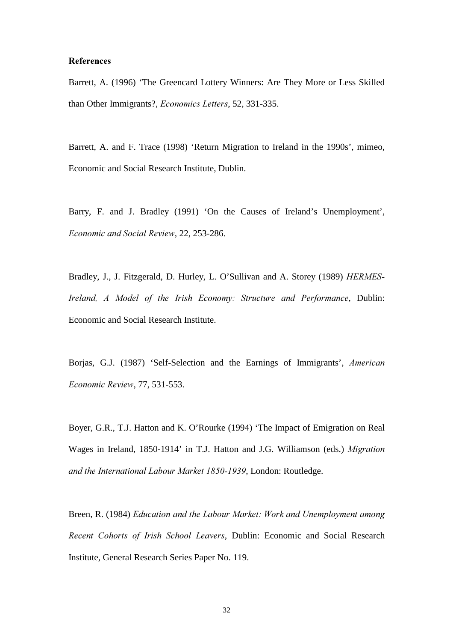#### **References**

Barrett, A. (1996) 'The Greencard Lottery Winners: Are They More or Less Skilled than Other Immigrants?, *Economics Letters*, 52, 331-335.

Barrett, A. and F. Trace (1998) 'Return Migration to Ireland in the 1990s', mimeo, Economic and Social Research Institute, Dublin.

Barry, F. and J. Bradley (1991) 'On the Causes of Ireland's Unemployment', Economic and Social Review, 22, 253-286.

Bradley, J., J. Fitzgerald, D. Hurley, L. O'Sullivan and A. Storey (1989) HERMES-Ireland, A Model of the Irish Economy: Structure and Performance, Dublin: Economic and Social Research Institute.

Borjas, G.J. (1987) 'Self-Selection and the Earnings of Immigrants', American Economic Review, 77, 531-553.

Boyer, G.R., T.J. Hatton and K. O'Rourke (1994) 'The Impact of Emigration on Real Wages in Ireland, 1850-1914' in T.J. Hatton and J.G. Williamson (eds.) Migration and the International Labour Market 1850-1939, London: Routledge.

Breen, R. (1984) Education and the Labour Market: Work and Unemployment among Recent Cohorts of Irish School Leavers, Dublin: Economic and Social Research Institute, General Research Series Paper No. 119.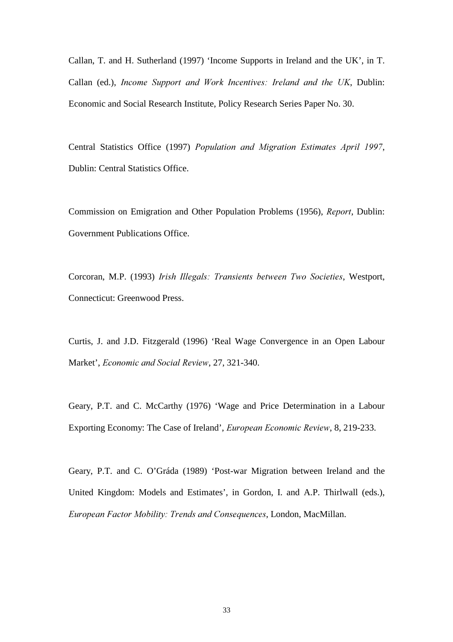Callan, T. and H. Sutherland (1997) 'Income Supports in Ireland and the UK', in T. Callan (ed.), *Income Support and Work Incentives: Ireland and the UK*, Dublin: Economic and Social Research Institute, Policy Research Series Paper No. 30.

Central Statistics Office (1997) Population and Migration Estimates April 1997, Dublin: Central Statistics Office.

Commission on Emigration and Other Population Problems (1956), Report, Dublin: Government Publications Office.

Corcoran, M.P. (1993) Irish Illegals: Transients between Two Societies, Westport, Connecticut: Greenwood Press.

Curtis, J. and J.D. Fitzgerald (1996) 'Real Wage Convergence in an Open Labour Market', *Economic and Social Review*, 27, 321-340.

Geary, P.T. and C. McCarthy (1976) 'Wage and Price Determination in a Labour Exporting Economy: The Case of Ireland', *European Economic Review*, 8, 219-233.

Geary, P.T. and C. O'Gráda (1989) 'Post-war Migration between Ireland and the United Kingdom: Models and Estimates', in Gordon, I. and A.P. Thirlwall (eds.), European Factor Mobility: Trends and Consequences, London, MacMillan.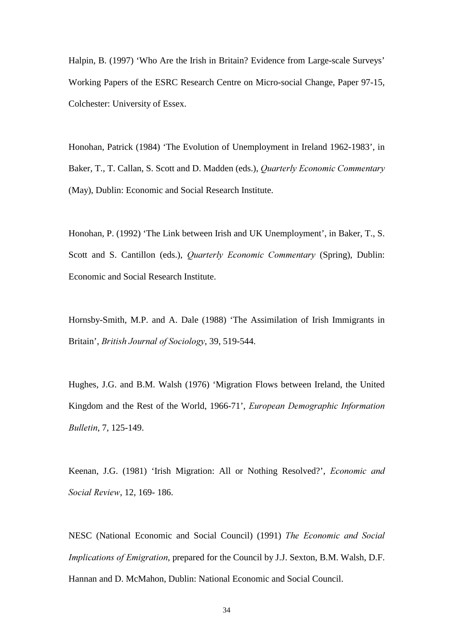Halpin, B. (1997) 'Who Are the Irish in Britain? Evidence from Large-scale Surveys' Working Papers of the ESRC Research Centre on Micro-social Change, Paper 97-15, Colchester: University of Essex.

Honohan, Patrick (1984) 'The Evolution of Unemployment in Ireland 1962-1983', in Baker, T., T. Callan, S. Scott and D. Madden (eds.), Quarterly Economic Commentary (May), Dublin: Economic and Social Research Institute.

Honohan, P. (1992) 'The Link between Irish and UK Unemployment', in Baker, T., S. Scott and S. Cantillon (eds.), *Quarterly Economic Commentary* (Spring), Dublin: Economic and Social Research Institute.

Hornsby-Smith, M.P. and A. Dale (1988) 'The Assimilation of Irish Immigrants in Britain', British Journal of Sociology, 39, 519-544.

Hughes, J.G. and B.M. Walsh (1976) 'Migration Flows between Ireland, the United Kingdom and the Rest of the World, 1966-71', European Demographic Information Bulletin, 7, 125-149.

Keenan, J.G. (1981) 'Irish Migration: All or Nothing Resolved?', *Economic and* Social Review, 12, 169- 186.

NESC (National Economic and Social Council) (1991) The Economic and Social Implications of Emigration, prepared for the Council by J.J. Sexton, B.M. Walsh, D.F. Hannan and D. McMahon, Dublin: National Economic and Social Council.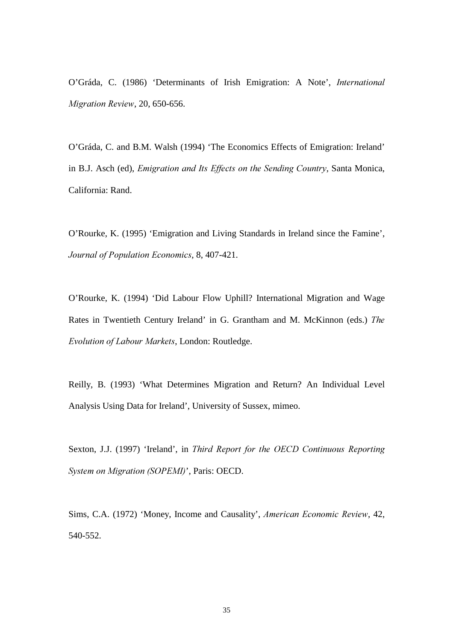O'Gráda, C. (1986) 'Determinants of Irish Emigration: A Note', International Migration Review, 20, 650-656.

O'Gráda, C. and B.M. Walsh (1994) 'The Economics Effects of Emigration: Ireland' in B.J. Asch (ed), *Emigration and Its Effects on the Sending Country*, Santa Monica, California: Rand.

O'Rourke, K. (1995) 'Emigration and Living Standards in Ireland since the Famine', Journal of Population Economics, 8, 407-421.

O'Rourke, K. (1994) 'Did Labour Flow Uphill? International Migration and Wage Rates in Twentieth Century Ireland' in G. Grantham and M. McKinnon (eds.) The Evolution of Labour Markets, London: Routledge.

Reilly, B. (1993) 'What Determines Migration and Return? An Individual Level Analysis Using Data for Ireland', University of Sussex, mimeo.

Sexton, J.J. (1997) 'Ireland', in Third Report for the OECD Continuous Reporting System on Migration (SOPEMI)', Paris: OECD.

Sims, C.A. (1972) 'Money, Income and Causality', American Economic Review, 42, 540-552.